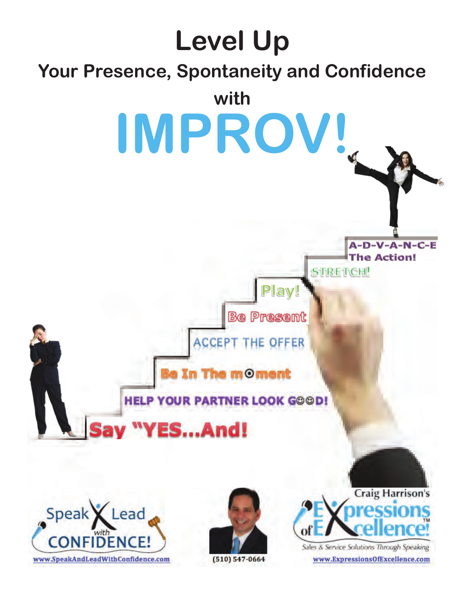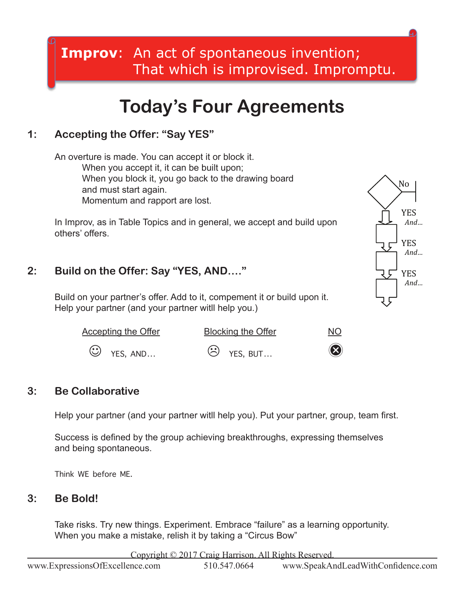### **Improv**: An act of spontaneous invention; That which is improvised. Impromptu.

## **Today's Four Agreements**

#### **1: Accepting the Offer: "Say YES"**

An overture is made. You can accept it or block it. When you accept it, it can be built upon; When you block it, you go back to the drawing board and must start again. Momentum and rapport are lost.

In Improv, as in Table Topics and in general, we accept and build upon others' offers.

#### **2: Build on the Offer: Say "YES, AND…."**

Build on your partner's offer. Add to it, compement it or build upon it. Help your partner (and your partner witll help you.)

| <b>Accepting the Offer</b> | <b>Blocking the Offer</b> | <u>NO</u>   |
|----------------------------|---------------------------|-------------|
| $\bigcirc$ YES, AND        | $\circled{c}$ YES, BUT    | $\circledR$ |

#### **3: Be Collaborative**

 Help your partner (and your partner witll help you). Put your partner, group, team first.

Success is defined by the group achieving breakthroughs, expressing themselves and being spontaneous.

Think WE before ME.

#### **3: Be Bold!**

Take risks. Try new things. Experiment. Embrace "failure" as a learning opportunity. When you make a mistake, relish it by taking a "Circus Bow"

Copyright © 2017 Craig Harrison. All Rights Reserved.

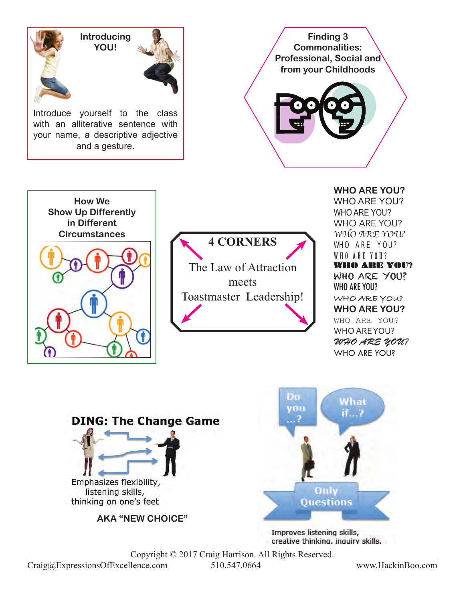







Improves listening skills, creative thinking, inquiry skills.

Copyright © 2017 Craig Harrison. All Rights Reserved.